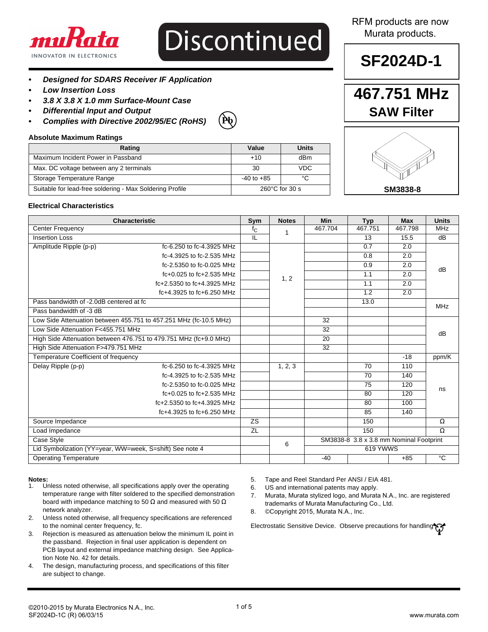

# **Discontinued**

- *• Designed for SDARS Receiver IF Application*
- *• Low Insertion Loss*
- *• 3.8 X 3.8 X 1.0 mm Surface-Mount Case*
- *• Differential Input and Output*
- *• Complies with Directive 2002/95/EC (RoHS)*

### **Pb**

#### **Absolute Maximum Ratings**

| Rating                                                   | Value                    | Units      |  |
|----------------------------------------------------------|--------------------------|------------|--|
| Maximum Incident Power in Passband                       | $+10$                    | dBm        |  |
| Max. DC voltage between any 2 terminals                  | 30                       | <b>VDC</b> |  |
| Storage Temperature Range                                | $-40$ to $+85$           | °C         |  |
| Suitable for lead-free soldering - Max Soldering Profile | $260^{\circ}$ C for 30 s |            |  |

### RFM products are now Murata products.

# **SF2024D-1**

## **467.751 MHz SAW Filter**



#### **Electrical Characteristics**

| <b>Characteristic</b>                                             |                              | Sym         | <b>Notes</b> | <b>Min</b>                                               | <b>Typ</b>      | <b>Max</b> | <b>Units</b>    |
|-------------------------------------------------------------------|------------------------------|-------------|--------------|----------------------------------------------------------|-----------------|------------|-----------------|
| <b>Center Frequency</b>                                           |                              | $f_{\rm C}$ |              | 467.704                                                  | 467.751         | 467.798    | <b>MHz</b>      |
| <b>Insertion Loss</b>                                             |                              | π           |              |                                                          | 13              | 15.5       | $\overline{dB}$ |
| Amplitude Ripple (p-p)                                            | fc-6.250 to fc-4.3925 MHz    |             |              |                                                          | 0.7             | 2.0        |                 |
|                                                                   | fc-4.3925 to fc-2.535 MHz    |             |              |                                                          | 0.8             | 2.0        |                 |
|                                                                   | fc-2.5350 to fc-0.025 MHz    |             |              |                                                          | 0.9             | 2.0        | dB              |
|                                                                   | $fc+0.025$ to $fc+2.535$ MHz |             | 1, 2         |                                                          | 1.1             | 2.0        |                 |
|                                                                   | fc+2.5350 to fc+4.3925 MHz   |             |              |                                                          | 1.1             | 2.0        |                 |
|                                                                   | fc+4.3925 to fc+6.250 MHz    |             |              |                                                          | 1.2             | 2.0        |                 |
| Pass bandwidth of -2.0dB centered at fc                           |                              |             |              |                                                          | 13.0            |            | <b>MHz</b>      |
| Pass bandwidth of -3 dB                                           |                              |             |              |                                                          |                 |            |                 |
| Low Side Attenuation between 455.751 to 457.251 MHz (fc-10.5 MHz) |                              |             |              | 32                                                       |                 |            |                 |
| Low Side Attenuation F<455.751 MHz                                |                              |             |              | 32                                                       |                 |            | dB              |
| High Side Attenuation between 476.751 to 479.751 MHz (fc+9.0 MHz) |                              |             |              | $\overline{20}$                                          |                 |            |                 |
| High Side Attenuation F>479.751 MHz                               |                              |             |              | 32                                                       |                 |            |                 |
| Temperature Coefficient of frequency                              |                              |             |              |                                                          |                 | $-18$      | ppm/K           |
| Delay Ripple (p-p)                                                | fc-6.250 to fc-4.3925 MHz    |             | 1, 2, 3      |                                                          | 70              | 110        |                 |
|                                                                   | fc-4.3925 to fc-2.535 MHz    |             |              |                                                          | $\overline{70}$ | 140        |                 |
|                                                                   | fc-2.5350 to fc-0.025 MHz    |             |              |                                                          | 75              | 120        | ns              |
|                                                                   | $fc+0.025$ to $fc+2.535$ MHz |             |              |                                                          | 80              | 120        |                 |
|                                                                   | fc+2.5350 to fc+4.3925 MHz   |             |              |                                                          | 80              | 100        |                 |
|                                                                   | fc+4.3925 to fc+6.250 MHz    |             |              |                                                          | 85              | 140        |                 |
| Source Impedance                                                  |                              | <b>ZS</b>   |              |                                                          | 150             |            | $\Omega$        |
| Load Impedance                                                    |                              | ZL          |              |                                                          | 150             |            | Ω               |
| Case Style                                                        |                              |             |              | SM3838-8 3.8 x 3.8 mm Nominal Footprint<br>6<br>619 YWWS |                 |            |                 |
| Lid Symbolization (YY=year, WW=week, S=shift) See note 4          |                              |             |              |                                                          |                 |            |                 |
| <b>Operating Temperature</b>                                      |                              |             |              | $-40$                                                    |                 | $+85$      | $\overline{c}$  |

### **Notes:**

- Unless noted otherwise, all specifications apply over the operating temperature range with filter soldered to the specified demonstration board with impedance matching to 50  $\Omega$  and measured with 50  $\Omega$ network analyzer.
- 2. Unless noted otherwise, all frequency specifications are referenced to the nominal center frequency, fc.
- 3. Rejection is measured as attenuation below the minimum IL point in the passband. Rejection in final user application is dependent on PCB layout and external impedance matching design. See Application Note No. 42 for details.
- 4. The design, manufacturing process, and specifications of this filter are subject to change.
- 5. Tape and Reel Standard Per ANSI / EIA 481.
- 6. US and international patents may apply.
- 7. Murata, Murata stylized logo, and Murata N.A., Inc. are registered trademarks of Murata Manufacturing Co., Ltd.
- 8. ©Copyright 2015, Murata N.A., Inc.

Electrostatic Sensitive Device. Observe precautions for handling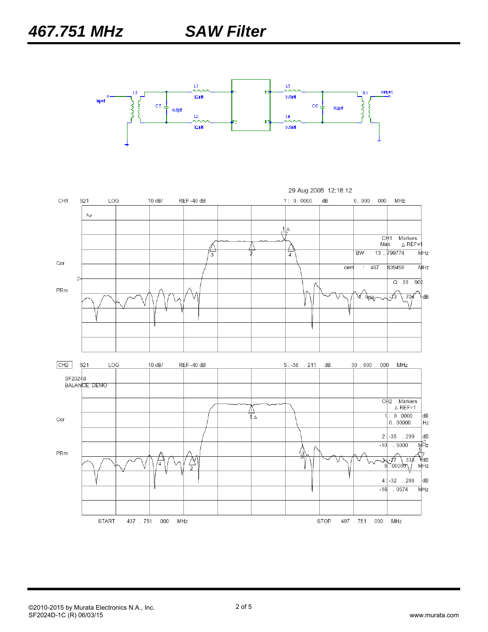

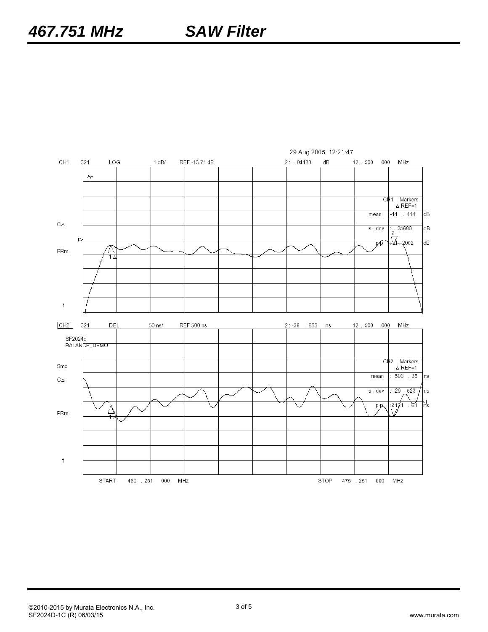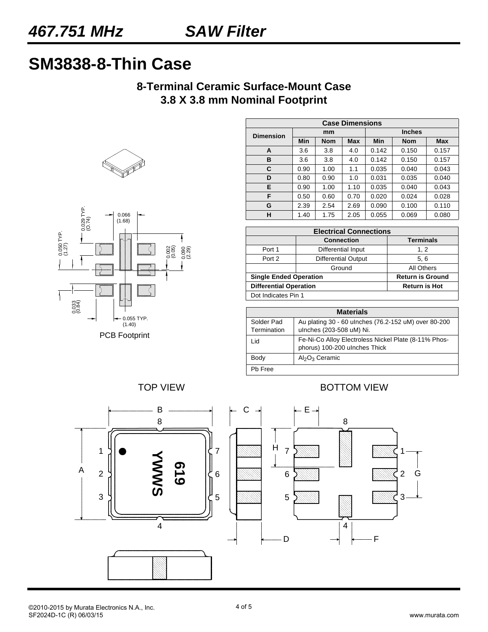# **SM3838-8-Thin Case**

### **8-Terminal Ceramic Surface-Mount Case 3.8 X 3.8 mm Nominal Footprint**





| <b>Case Dimensions</b> |      |            |            |               |            |            |  |
|------------------------|------|------------|------------|---------------|------------|------------|--|
| <b>Dimension</b>       | mm   |            |            | <b>Inches</b> |            |            |  |
|                        | Min  | <b>Nom</b> | <b>Max</b> | Min           | <b>Nom</b> | <b>Max</b> |  |
| A                      | 3.6  | 3.8        | 4.0        | 0.142         | 0.150      | 0.157      |  |
| B                      | 3.6  | 3.8        | 4.0        | 0.142         | 0.150      | 0.157      |  |
| C                      | 0.90 | 1.00       | 1.1        | 0.035         | 0.040      | 0.043      |  |
| D                      | 0.80 | 0.90       | 1.0        | 0.031         | 0.035      | 0.040      |  |
| Е                      | 0.90 | 1.00       | 1.10       | 0.035         | 0.040      | 0.043      |  |
| F                      | 0.50 | 0.60       | 0.70       | 0.020         | 0.024      | 0.028      |  |
| G                      | 2.39 | 2.54       | 2.69       | 0.090         | 0.100      | 0.110      |  |
| н                      | 1.40 | 1.75       | 2.05       | 0.055         | 0.069      | 0.080      |  |

| <b>Electrical Connections</b> |                            |                         |  |  |
|-------------------------------|----------------------------|-------------------------|--|--|
|                               | <b>Connection</b>          | <b>Terminals</b>        |  |  |
| Port 1                        | Differential Input         | 1, 2                    |  |  |
| Port 2                        | <b>Differential Output</b> | 5, 6                    |  |  |
|                               | Ground                     | All Others              |  |  |
| <b>Single Ended Operation</b> |                            | <b>Return is Ground</b> |  |  |
| <b>Differential Operation</b> |                            | <b>Return is Hot</b>    |  |  |
| Dot Indicates Pin 1           |                            |                         |  |  |

| <b>Materials</b>          |                                                                                       |  |  |  |
|---------------------------|---------------------------------------------------------------------------------------|--|--|--|
| Solder Pad<br>Termination | Au plating 30 - 60 ulnches (76.2-152 uM) over 80-200<br>ulnches (203-508 uM) Ni.      |  |  |  |
| l id                      | Fe-Ni-Co Alloy Electroless Nickel Plate (8-11% Phos-<br>phorus) 100-200 ulnches Thick |  |  |  |
| Body                      | $Al_2O_3$ Ceramic                                                                     |  |  |  |
| Ph Free                   |                                                                                       |  |  |  |

TOP VIEW **BOTTOM VIEW** 

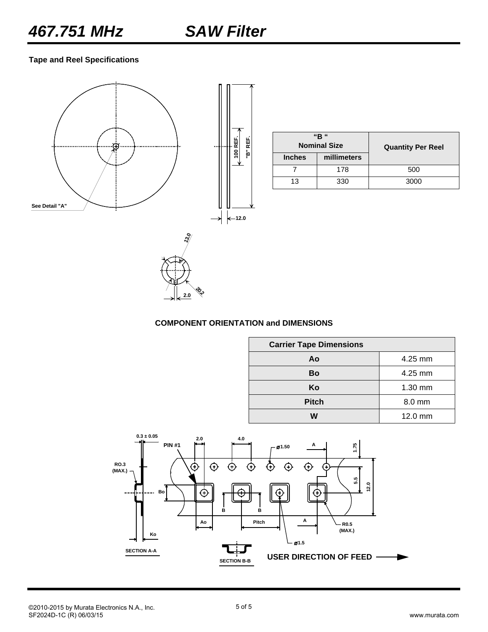**Tape and Reel Specifications**



|               | "R "<br><b>Nominal Size</b><br><b>Quantity Per Reel</b> |      |
|---------------|---------------------------------------------------------|------|
| <b>Inches</b> | millimeters                                             |      |
|               | 178                                                     | 500  |
| 13            | 330                                                     | 3000 |



#### **COMPONENT ORIENTATION and DIMENSIONS**

| <b>Carrier Tape Dimensions</b> |           |  |  |  |
|--------------------------------|-----------|--|--|--|
| Ao                             | $4.25$ mm |  |  |  |
| Bo                             | $4.25$ mm |  |  |  |
| Ko                             | 1.30 mm   |  |  |  |
| <b>Pitch</b>                   | 8.0 mm    |  |  |  |
| w                              | 12.0 mm   |  |  |  |